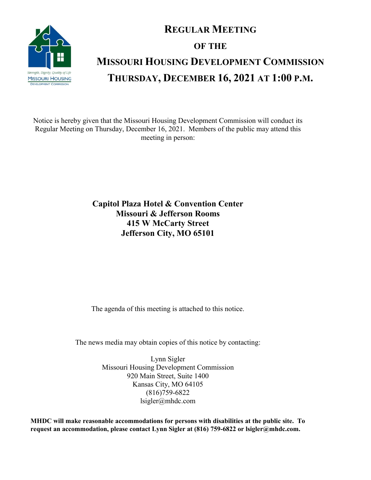

# **REGULAR MEETING OF THE MISSOURI HOUSING DEVELOPMENT COMMISSION THURSDAY, DECEMBER 16, 2021 AT 1:00 P.M.**

Notice is hereby given that the Missouri Housing Development Commission will conduct its Regular Meeting on Thursday, December 16, 2021. Members of the public may attend this meeting in person:

### **Capitol Plaza Hotel & Convention Center Missouri & Jefferson Rooms 415 W McCarty Street Jefferson City, MO 65101**

The agenda of this meeting is attached to this notice.

The news media may obtain copies of this notice by contacting:

Lynn Sigler Missouri Housing Development Commission 920 Main Street, Suite 1400 Kansas City, MO 64105 (816)759-6822 lsigler@mhdc.com

**MHDC will make reasonable accommodations for persons with disabilities at the public site. To request an accommodation, please contact Lynn Sigler at (816) 759-6822 or lsigler@mhdc.com.**